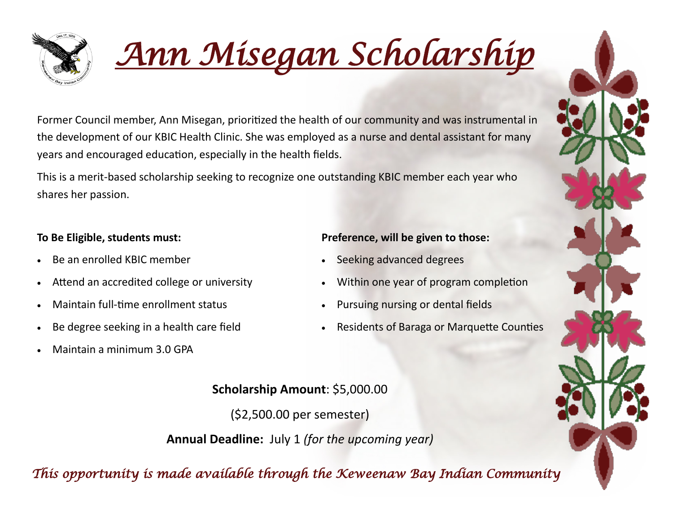

*Ann Misegan Scholarship* 

Former Council member, Ann Misegan, prioritized the health of our community and was instrumental in the development of our KBIC Health Clinic. She was employed as a nurse and dental assistant for many years and encouraged education, especially in the health fields.

This is a merit-based scholarship seeking to recognize one outstanding KBIC member each year who shares her passion.

### **To Be Eligible, students must:**

- Be an enrolled KBIC member
- Attend an accredited college or university
- Maintain full-time enrollment status
- Be degree seeking in a health care field
- Maintain a minimum 3.0 GPA

### **Preference, will be given to those:**

- Seeking advanced degrees
- Within one year of program completion
- Pursuing nursing or dental fields
- Residents of Baraga or Marquette Counties

# **Scholarship Amount**: \$5,000.00

(\$2,500.00 per semester)

**Annual Deadline:** July 1 *(for the upcoming year)*

*This opportunity is made available through the Keweenaw Bay Indian Community*